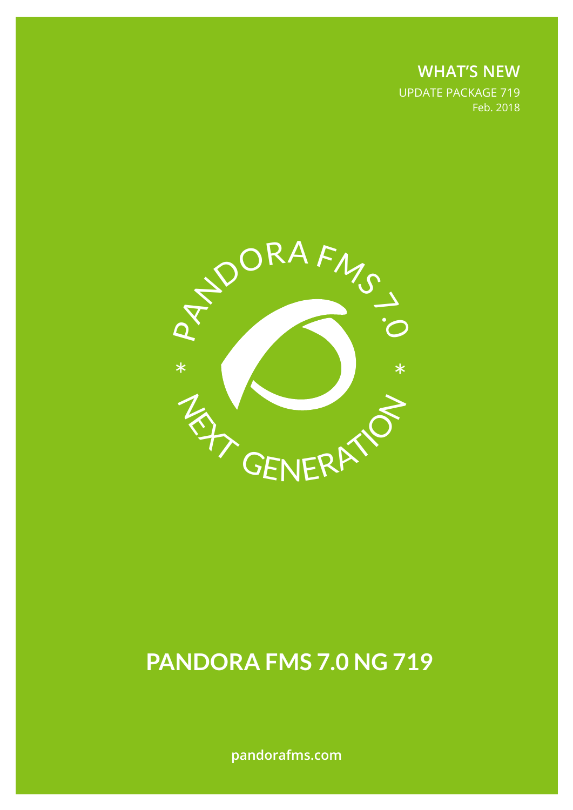**WHAT'S NEW** UPDATE PACKAGE 719 Feb. 2018



# **PANDORA FMS 7.0 NG 719**

**pandorafms.com**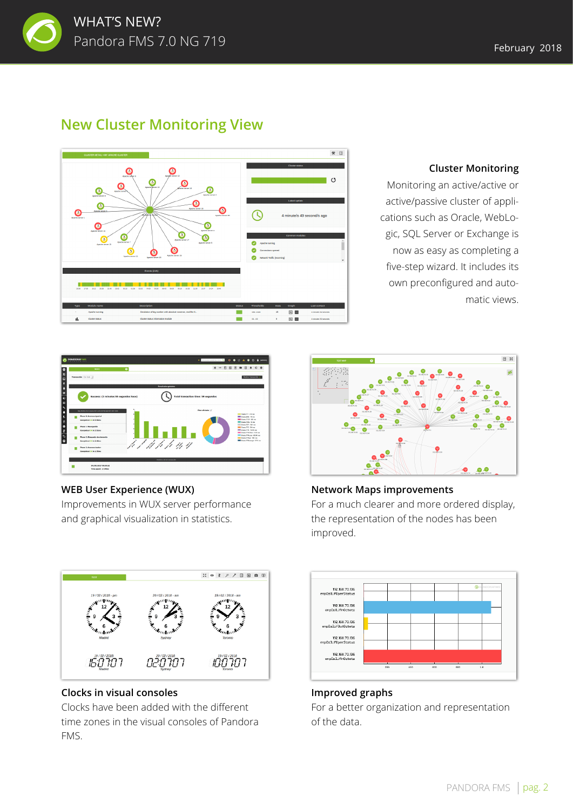

# **New Cluster Monitoring View**



#### **Cluster Monitoring**

Monitoring an active/active or active/passive cluster of applications such as Oracle, WebLogic, SQL Server or Exchange is now as easy as completing a five-step wizard. It includes its own preconfigured and automatic views.



#### **WEB User Experience (WUX)**

Improvements in WUX server performance and graphical visualization in statistics.



### **Network Maps improvements**  For a much clearer and more ordered display, the representation of the nodes has been improved.



#### **Improved graphs**

For a better organization and representation of the data.

רמרס רמרמי רמרממו

#### **Clocks in visual consoles**

Clocks have been added with the different time zones in the visual consoles of Pandora FMS.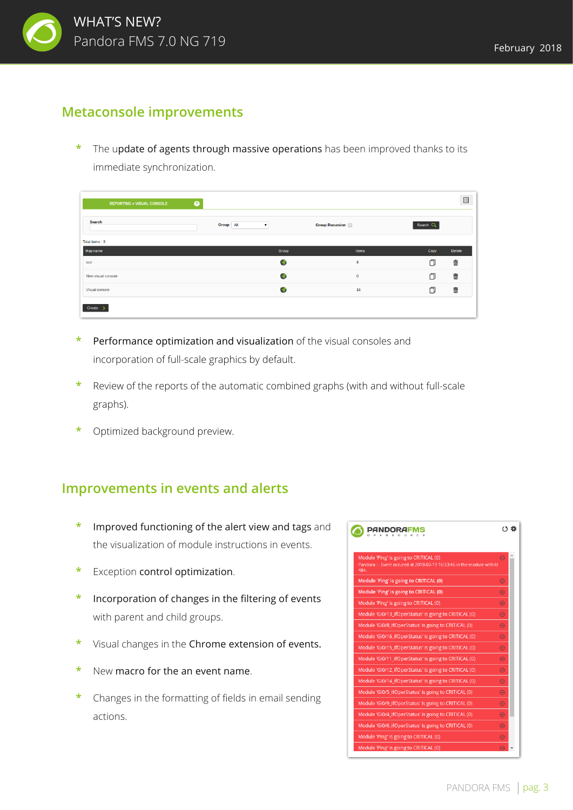

## **Metaconsole improvements**

The update of agents through massive operations has been improved thanks to its immediate synchronization.

| <b>REPORTING » VISUAL CONSOLE</b> | $\bullet$ |           |                    |                        |            | 国      |
|-----------------------------------|-----------|-----------|--------------------|------------------------|------------|--------|
| <b>Search</b>                     |           | Group All | $\pmb{\mathrm{v}}$ | <b>Group Recursion</b> | Search $Q$ |        |
| Total items: 3                    |           |           |                    |                        |            |        |
| Map name                          |           |           | Group              | Items                  | Copy       | Delete |
| test                              |           |           | Ó                  | 6                      | 门          | 壶      |
| New visual console                |           |           | $\bullet$          | $\mathbf 0$            | 门          | 壶      |
| Visual console                    |           |           | $\bullet$          | 16                     | O          | 壶      |
| Create                            |           |           |                    |                        |            |        |

- **\*** Performance optimization and visualization of the visual consoles and incorporation of full-scale graphics by default.
- **\*** Review of the reports of the automatic combined graphs (with and without full-scale graphs).
- **\*** Optimized background preview.

## **Improvements in events and alerts**

- **\*** Improved functioning of the alert view and tags and the visualization of module instructions in events.
- **\*** Exception control optimization.
- **\*** Incorporation of changes in the filtering of events with parent and child groups.
- **\*** Visual changes in the Chrome extension of events.
- **\*** New macro for the an event name.
- **\*** Changes in the formatting of fields in email sending actions.

| Module 'Ping' is going to CRITICAL (0)<br>Pandora : . Event occured at 2018-02-19 16:33:46 in the module with Id<br>484. | E           |
|--------------------------------------------------------------------------------------------------------------------------|-------------|
| Module 'Ping' is going to CRITICAL (0)                                                                                   | $\bigoplus$ |
| Module 'Ping' is going to CRITICAL (0)                                                                                   | $\bigoplus$ |
| Module 'Ping' is going to CRITICAL (0)                                                                                   | $\bigoplus$ |
| Module 'Gi0/13_ifOperStatus' is going to CRITICAL (0)                                                                    | $\bigoplus$ |
| Module 'Gi0/8_ifOperStatus' is going to CRITICAL (0)                                                                     | $\bigoplus$ |
| Module 'Gi0/16_ifOperStatus' is going to CRITICAL (0)                                                                    | $\bigoplus$ |
| Module 'Gi0/15_ifOperStatus' is going to CRITICAL (0)                                                                    | $\bigoplus$ |
| Module 'Gi0/11 ifOperStatus' is going to CRITICAL (0)                                                                    | $\bigoplus$ |
| Module 'Gi0/12 ifOperStatus' is going to CRITICAL (0)                                                                    | $\bigoplus$ |
| Module 'Gi0/14_ifOperStatus' is going to CRITICAL (0)                                                                    | $\bigoplus$ |
| Module 'Gi0/5_ifOperStatus' is going to CRITICAL (0)                                                                     | $\bigoplus$ |
| Module 'Gi0/9_ifOperStatus' is going to CRITICAL (0)                                                                     | $\bigoplus$ |
| Module 'Gi0/4_ifOperStatus' is going to CRITICAL (0)                                                                     | $\bigoplus$ |
| Module 'Gi0/6 ifOperStatus' is going to CRITICAL (0)                                                                     | $\bigoplus$ |
| Module 'Ping' is going to CRITICAL (0)                                                                                   | $\bigoplus$ |
| Module 'Ping' is going to CRITICAL (0)                                                                                   |             |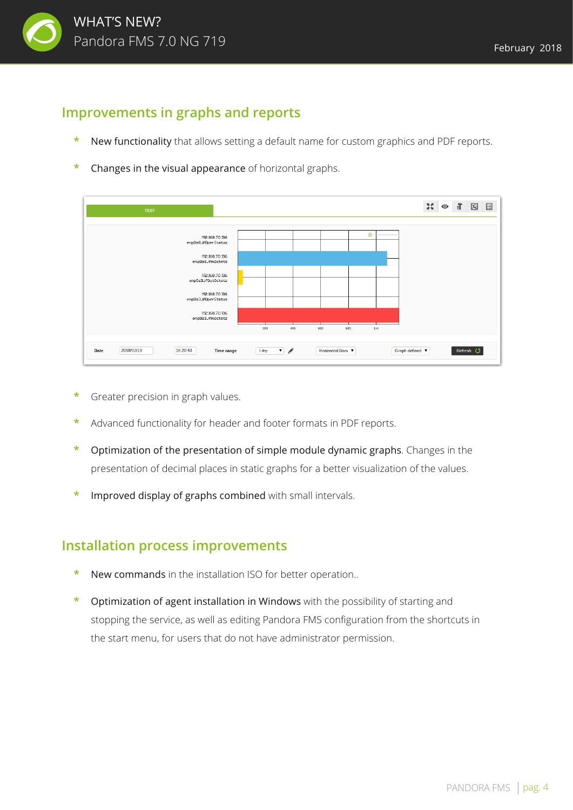

# **Improvements in graphs and reports**

- **\*** New functionality that allows setting a default name for custom graphics and PDF reports.
- **\*** Changes in the visual appearance of horizontal graphs.



- **\*** Greater precision in graph values.
- **\*** Advanced functionality for header and footer formats in PDF reports.
- **\*** Optimization of the presentation of simple module dynamic graphs. Changes in the presentation of decimal places in static graphs for a better visualization of the values.
- **\*** Improved display of graphs combined with small intervals.

## **Installation process improvements**

- **\*** New commands in the installation ISO for better operation..
- **\*** Optimization of agent installation in Windows with the possibility of starting and stopping the service, as well as editing Pandora FMS configuration from the shortcuts in the start menu, for users that do not have administrator permission.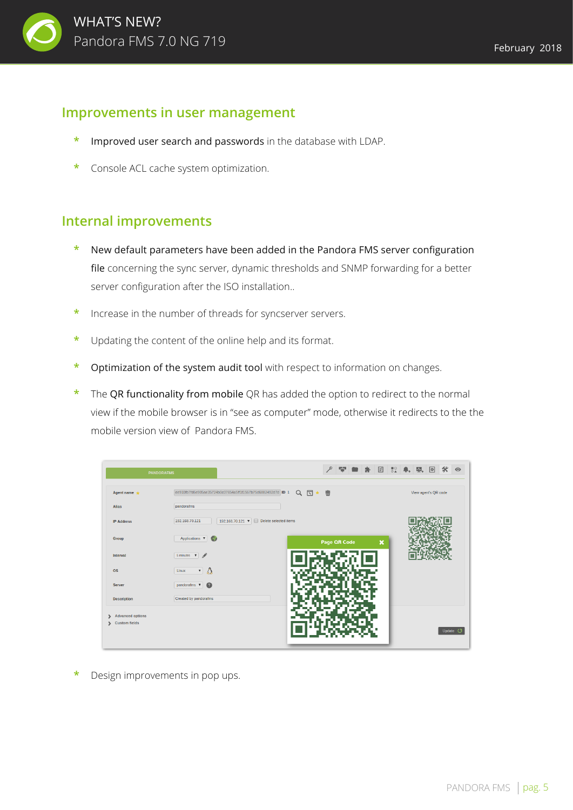

## **Improvements in user management**

- **\*** Improved user search and passwords in the database with LDAP.
- **\*** Console ACL cache system optimization.

## **Internal improvements**

- **\*** New default parameters have been added in the Pandora FMS server configuration file concerning the sync server, dynamic thresholds and SNMP forwarding for a better server configuration after the ISO installation..
- **\*** Increase in the number of threads for syncserver servers.
- **\*** Updating the content of the online help and its format.
- **\*** Optimization of the system audit tool with respect to information on changes.
- **\*** The QR functionality from mobile QR has added the option to redirect to the normal view if the mobile browser is in "see as computer" mode, otherwise it redirects to the the mobile version view of Pandora FMS.

| <b>PANDORAFMS</b>            |                                                             |                                        | ₽                   | 空白光          |                           | 図 ☆ ● 要回 ※ ◎         |                 |
|------------------------------|-------------------------------------------------------------|----------------------------------------|---------------------|--------------|---------------------------|----------------------|-----------------|
| Agent name $\bigstar$        | ee910fb7fd6e905ae35724b0c07654a5ff1f1567b75d6882492d7d ID 1 |                                        | 面<br>$\alpha$<br>同★ |              |                           | View agent's QR code |                 |
| <b>Alias</b>                 | pandorafms                                                  |                                        |                     |              |                           |                      |                 |
| <b>IP Address</b>            | 192.168.70.121                                              | 192.168.70.121 ▼ Delete selected items |                     |              |                           |                      |                 |
| Group                        | Applications $\blacktriangledown$                           |                                        |                     | Page QR Code | $\boldsymbol{\mathsf{x}}$ |                      |                 |
| Interval                     | 5 minutes $\mathbf{v}$                                      |                                        |                     |              |                           |                      |                 |
| <b>OS</b>                    | $\overline{\phantom{a}}$ $\Delta$<br>Linux                  |                                        | N AST               |              |                           |                      |                 |
| <b>Server</b>                | pandorafms $\bullet$                                        |                                        |                     |              |                           |                      |                 |
| <b>Description</b>           | Created by pandorafms                                       |                                        |                     |              |                           |                      |                 |
| <b>Advanced options</b><br>↘ |                                                             |                                        |                     |              |                           |                      |                 |
| Custom fields                |                                                             |                                        |                     |              |                           |                      | Update <b>3</b> |
|                              |                                                             |                                        |                     |              |                           |                      |                 |

**\*** Design improvements in pop ups.